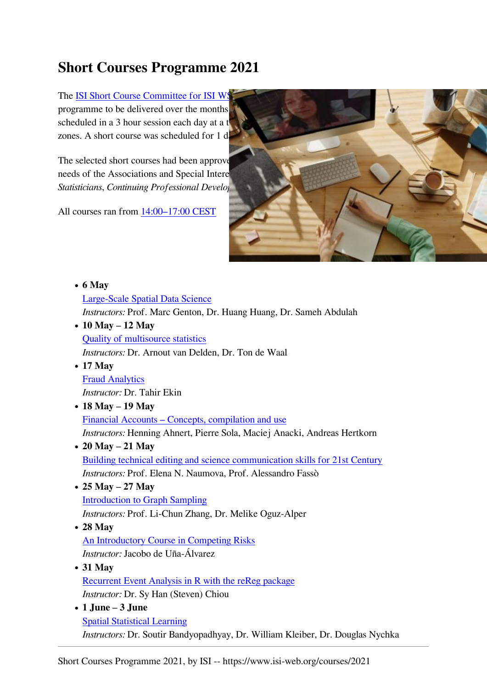## **Short Courses Programme 2021**

The ISI Short Course Committee for ISI WS programme to be delivered over the months scheduled in a 3 hour session each day at a t zones. A short course was scheduled for 1 d

The selected short courses had been approve needs of the Associations and Special Intere *Statisticians, Continuing Professional Development*, *Statisticians, Continuing Professional Develop* 

All courses ran from [14:00–17:00 CEST](https://www.timeanddate.com/worldclock/converter.html?iso=20210506T120000&p1=1314)



| $\bullet$ 6 May                                                                |
|--------------------------------------------------------------------------------|
| Large-Scale Spatial Data Science                                               |
| <i>Instructors:</i> Prof. Marc Genton, Dr. Huang Huang, Dr. Sameh Abdulah      |
| $\bullet$ 10 May – 12 May                                                      |
| <b>Quality of multisource statistics</b>                                       |
| Instructors: Dr. Arnout van Delden, Dr. Ton de Waal                            |
| $\bullet$ 17 May                                                               |
| <b>Fraud Analytics</b>                                                         |
| <i>Instructor: Dr. Tahir Ekin</i>                                              |
| • 18 May $-$ 19 May                                                            |
| Financial Accounts – Concepts, compilation and use                             |
| Instructors: Henning Ahnert, Pierre Sola, Maciej Anacki, Andreas Hertkorn      |
| • 20 May $- 21$ May                                                            |
| Building technical editing and science communication skills for 21st Century   |
| Instructors: Prof. Elena N. Naumova, Prof. Alessandro Fassò                    |
| • $25$ May $- 27$ May                                                          |
| <b>Introduction to Graph Sampling</b>                                          |
| Instructors: Prof. Li-Chun Zhang, Dr. Melike Oguz-Alper                        |
| $\bullet$ 28 May                                                               |
| An Introductory Course in Competing Risks                                      |
| <i>Instructor:</i> Jacobo de Uña-Álvarez                                       |
| $\bullet$ 31 May                                                               |
| <b>Recurrent Event Analysis in R with the reReg package</b>                    |
| <i>Instructor: Dr. Sy Han (Steven) Chiou</i>                                   |
| $\bullet$ 1 June - 3 June                                                      |
| <b>Spatial Statistical Learning</b>                                            |
| Instructors: Dr. Soutir Bandyopadhyay, Dr. William Kleiber, Dr. Douglas Nychka |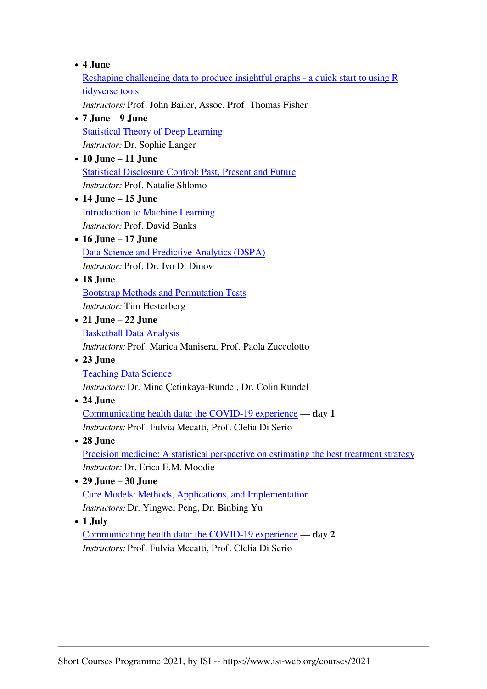## **4 June**

[Reshaping challenging data to produce insightful graphs - a quick start to using R](https://www.isi-web.org/node/393) [tidyverse tools](https://www.isi-web.org/node/393)

*Instructors:* Prof. John Bailer, Assoc. Prof. Thomas Fisher

- **7 June 9 June** [Statistical Theory of Deep Learning](https://www.isi-web.org/node/394) *Instructor:* Dr. Sophie Langer
- **10 June 11 June** [Statistical Disclosure Control: Past, Present and Future](https://www.isi-web.org/node/395) *Instructor:* Prof. Natalie Shlomo
- **14 June 15 June** [Introduction to Machine Learning](https://www.isi-web.org/node/396) *Instructor:* Prof. David Banks
- **16 June 17 June** [Data Science and Predictive Analytics \(DSPA\)](https://www.isi-web.org/node/397) *Instructor:* Prof. Dr. Ivo D. Dinov
- **18 June**

[Bootstrap Methods and Permutation Tests](https://www.isi-web.org/node/398) *Instructor:* Tim Hesterberg

- **21 June 22 June** [Basketball Data Analysis](https://www.isi-web.org/node/399) *Instructors:* Prof. Marica Manisera, Prof. Paola Zuccolotto
- **23 June** [Teaching Data Science](https://www.isi-web.org/node/400)

*Instructors:* Dr. Mine Çetinkaya-Rundel, Dr. Colin Rundel

**24 June**

[Communicating health data: the COVID-19 experience](https://www.isi-web.org/node/401) — **day 1** *Instructors:* Prof. Fulvia Mecatti, Prof. Clelia Di Serio

- **28 June** [Precision medicine: A statistical perspective on estimating the best treatment strategy](https://www.isi-web.org/node/402) *Instructor:* Dr. Erica E.M. Moodie
- **29 June 30 June** [Cure Models: Methods, Applications, and Implementation](https://www.isi-web.org/node/403) *Instructors:* Dr. Yingwei Peng, Dr. Binbing Yu
- **1 July**

[Communicating health data: the COVID-19 experience](https://www.isi-web.org/node/401) — **day 2** *Instructors:* Prof. Fulvia Mecatti, Prof. Clelia Di Serio